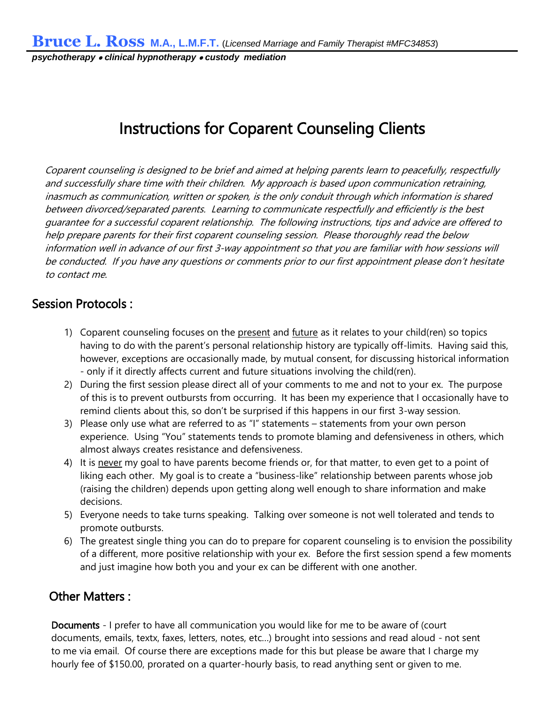*psychotherapy* • *clinical hypnotherapy* • *custody mediation*

## Instructions for Coparent Counseling Clients

Coparent counseling is designed to be brief and aimed at helping parents learn to peacefully, respectfully and successfully share time with their children. My approach is based upon communication retraining, inasmuch as communication, written or spoken, is the only conduit through which information is shared between divorced/separated parents. Learning to communicate respectfully and efficiently is the best guarantee for a successful coparent relationship. The following instructions, tips and advice are offered to help prepare parents for their first coparent counseling session. Please thoroughly read the below information well in advance of our first 3-way appointment so that you are familiar with how sessions will be conducted. If you have any questions or comments prior to our first appointment please don't hesitate to contact me.

## Session Protocols :

- 1) Coparent counseling focuses on the present and future as it relates to your child(ren) so topics having to do with the parent's personal relationship history are typically off-limits. Having said this, however, exceptions are occasionally made, by mutual consent, for discussing historical information - only if it directly affects current and future situations involving the child(ren).
- 2) During the first session please direct all of your comments to me and not to your ex. The purpose of this is to prevent outbursts from occurring. It has been my experience that I occasionally have to remind clients about this, so don't be surprised if this happens in our first 3-way session.
- 3) Please only use what are referred to as "I" statements statements from your own person experience. Using "You" statements tends to promote blaming and defensiveness in others, which almost always creates resistance and defensiveness.
- 4) It is never my goal to have parents become friends or, for that matter, to even get to a point of liking each other. My goal is to create a "business-like" relationship between parents whose job (raising the children) depends upon getting along well enough to share information and make decisions.
- 5) Everyone needs to take turns speaking. Talking over someone is not well tolerated and tends to promote outbursts.
- 6) The greatest single thing you can do to prepare for coparent counseling is to envision the possibility of a different, more positive relationship with your ex. Before the first session spend a few moments and just imagine how both you and your ex can be different with one another.

## Other Matters :

Documents - I prefer to have all communication you would like for me to be aware of (court documents, emails, textx, faxes, letters, notes, etc…) brought into sessions and read aloud - not sent to me via email. Of course there are exceptions made for this but please be aware that I charge my hourly fee of \$150.00, prorated on a quarter-hourly basis, to read anything sent or given to me.